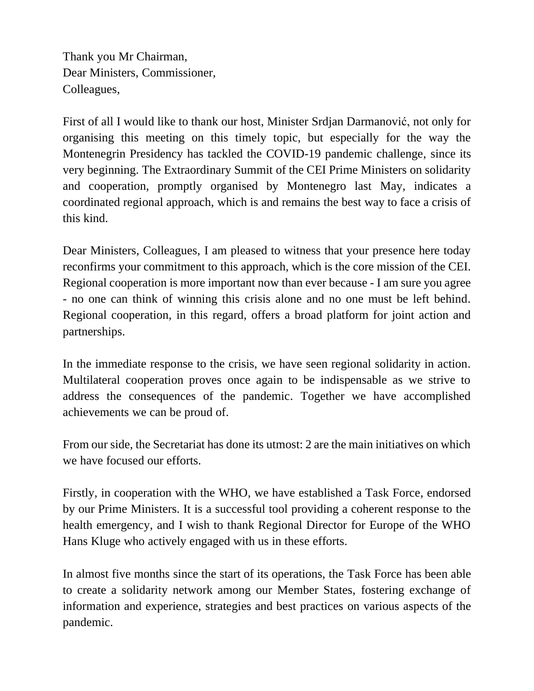Thank you Mr Chairman, Dear Ministers, Commissioner, Colleagues,

First of all I would like to thank our host, Minister Srdjan Darmanović, not only for organising this meeting on this timely topic, but especially for the way the Montenegrin Presidency has tackled the COVID-19 pandemic challenge, since its very beginning. The Extraordinary Summit of the CEI Prime Ministers on solidarity and cooperation, promptly organised by Montenegro last May, indicates a coordinated regional approach, which is and remains the best way to face a crisis of this kind.

Dear Ministers, Colleagues, I am pleased to witness that your presence here today reconfirms your commitment to this approach, which is the core mission of the CEI. Regional cooperation is more important now than ever because - I am sure you agree - no one can think of winning this crisis alone and no one must be left behind. Regional cooperation, in this regard, offers a broad platform for joint action and partnerships.

In the immediate response to the crisis, we have seen regional solidarity in action. Multilateral cooperation proves once again to be indispensable as we strive to address the consequences of the pandemic. Together we have accomplished achievements we can be proud of.

From our side, the Secretariat has done its utmost: 2 are the main initiatives on which we have focused our efforts.

Firstly, in cooperation with the WHO, we have established a Task Force, endorsed by our Prime Ministers. It is a successful tool providing a coherent response to the health emergency, and I wish to thank Regional Director for Europe of the WHO Hans Kluge who actively engaged with us in these efforts.

In almost five months since the start of its operations, the Task Force has been able to create a solidarity network among our Member States, fostering exchange of information and experience, strategies and best practices on various aspects of the pandemic.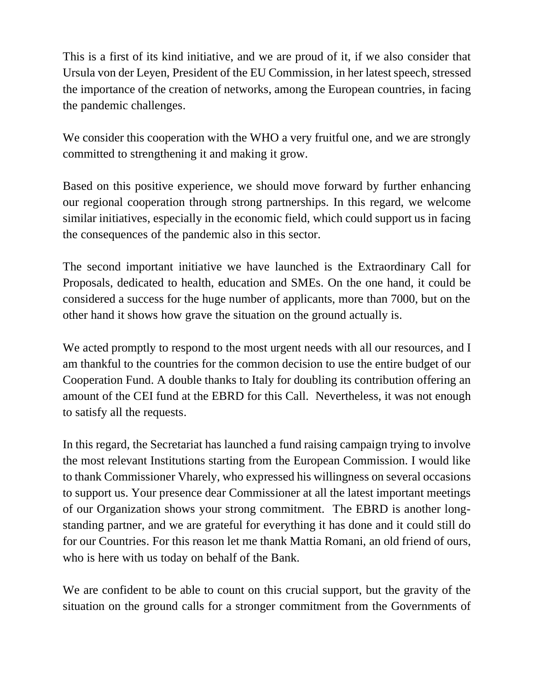This is a first of its kind initiative, and we are proud of it, if we also consider that Ursula von der Leyen, President of the EU Commission, in her latest speech, stressed the importance of the creation of networks, among the European countries, in facing the pandemic challenges.

We consider this cooperation with the WHO a very fruitful one, and we are strongly committed to strengthening it and making it grow.

Based on this positive experience, we should move forward by further enhancing our regional cooperation through strong partnerships. In this regard, we welcome similar initiatives, especially in the economic field, which could support us in facing the consequences of the pandemic also in this sector.

The second important initiative we have launched is the Extraordinary Call for Proposals, dedicated to health, education and SMEs. On the one hand, it could be considered a success for the huge number of applicants, more than 7000, but on the other hand it shows how grave the situation on the ground actually is.

We acted promptly to respond to the most urgent needs with all our resources, and I am thankful to the countries for the common decision to use the entire budget of our Cooperation Fund. A double thanks to Italy for doubling its contribution offering an amount of the CEI fund at the EBRD for this Call. Nevertheless, it was not enough to satisfy all the requests.

In this regard, the Secretariat has launched a fund raising campaign trying to involve the most relevant Institutions starting from the European Commission. I would like to thank Commissioner Vharely, who expressed his willingness on several occasions to support us. Your presence dear Commissioner at all the latest important meetings of our Organization shows your strong commitment. The EBRD is another longstanding partner, and we are grateful for everything it has done and it could still do for our Countries. For this reason let me thank Mattia Romani, an old friend of ours, who is here with us today on behalf of the Bank.

We are confident to be able to count on this crucial support, but the gravity of the situation on the ground calls for a stronger commitment from the Governments of